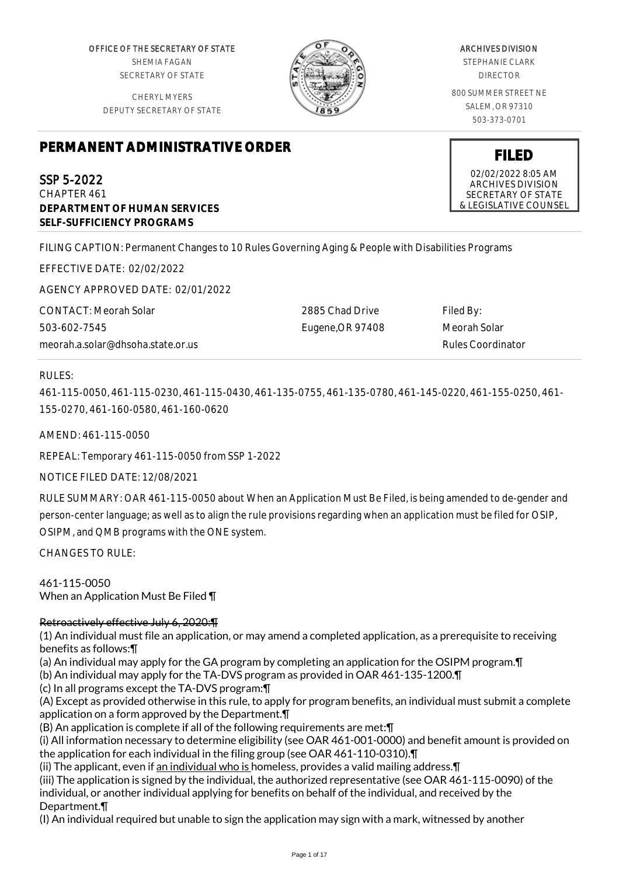OFFICE OF THE SECRETARY OF STATE SHEMIA FAGAN SECRETARY OF STATE

CHERYL MYERS DEPUTY SECRETARY OF STATE



# ARCHIVES DIVISION

STEPHANIE CLARK DIRECTOR

800 SUMMER STREET NE SALEM, OR 97310 503-373-0701

**FILED** 02/02/2022 8:05 AM ARCHIVES DIVISION SECRETARY OF STATE & LEGISLATIVE COUNSEL

# **PERMANENT ADMINISTRATIVE ORDER**

SSP 5-2022 CHAPTER 461 **DEPARTMENT OF HUMAN SERVICES SELF-SUFFICIENCY PROGRAMS**

FILING CAPTION: Permanent Changes to 10 Rules Governing Aging & People with Disabilities Programs

EFFECTIVE DATE: 02/02/2022

AGENCY APPROVED DATE: 02/01/2022

CONTACT: Meorah Solar 503-602-7545 meorah.a.solar@dhsoha.state.or.us 2885 Chad Drive Eugene,OR 97408

Filed By: Meorah Solar Rules Coordinator

# RULES:

461-115-0050, 461-115-0230, 461-115-0430, 461-135-0755, 461-135-0780, 461-145-0220, 461-155-0250, 461- 155-0270, 461-160-0580, 461-160-0620

AMEND: 461-115-0050

REPEAL: Temporary 461-115-0050 from SSP 1-2022

NOTICE FILED DATE: 12/08/2021

RULE SUMMARY: OAR 461-115-0050 about When an Application Must Be Filed, is being amended to de-gender and person-center language; as well as to align the rule provisions regarding when an application must be filed for OSIP, OSIPM, and QMB programs with the ONE system.

CHANGES TO RULE:

461-115-0050 When an Application Must Be Filed ¶

# Retroactively effective July 6, 2020:¶

(1) An individual must file an application, or may amend a completed application, as a prerequisite to receiving benefits as follows:¶

(a) An individual may apply for the GA program by completing an application for the OSIPM program.¶

(b) An individual may apply for the TA-DVS program as provided in OAR 461-135-1200.¶

(c) In all programs except the TA-DVS program:¶

(A) Except as provided otherwise in this rule, to apply for program benefits, an individual must submit a complete application on a form approved by the Department.¶

(B) An application is complete if all of the following requirements are met:¶

(i) All information necessary to determine eligibility (see OAR 461-001-0000) and benefit amount is provided on the application for each individual in the filing group (see OAR 461-110-0310).¶

(ii) The applicant, even if an individual who is homeless, provides a valid mailing address. [1]

(iii) The application is signed by the individual, the authorized representative (see OAR 461-115-0090) of the individual, or another individual applying for benefits on behalf of the individual, and received by the Department.¶

(I) An individual required but unable to sign the application may sign with a mark, witnessed by another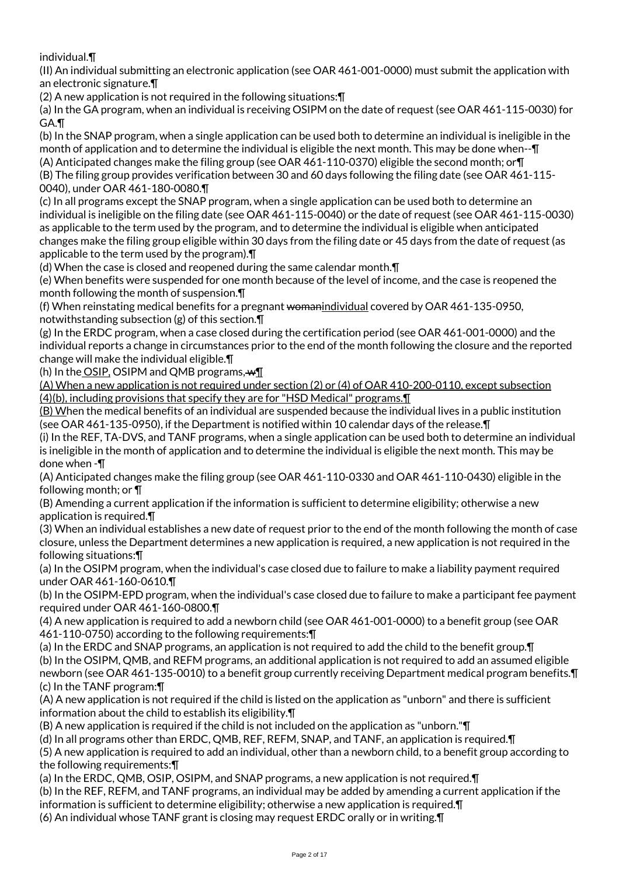individual.¶

(II) An individual submitting an electronic application (see OAR 461-001-0000) must submit the application with an electronic signature.¶

(2) A new application is not required in the following situations:¶

(a) In the GA program, when an individual is receiving OSIPM on the date of request (see OAR 461-115-0030) for GA.¶

(b) In the SNAP program, when a single application can be used both to determine an individual is ineligible in the month of application and to determine the individual is eligible the next month. This may be done when--¶ (A) Anticipated changes make the filing group (see OAR 461-110-0370) eligible the second month; or¶

(B) The filing group provides verification between 30 and 60 days following the filing date (see OAR 461-115- 0040), under OAR 461-180-0080.¶

(c) In all programs except the SNAP program, when a single application can be used both to determine an individual is ineligible on the filing date (see OAR 461-115-0040) or the date of request (see OAR 461-115-0030) as applicable to the term used by the program, and to determine the individual is eligible when anticipated changes make the filing group eligible within 30 days from the filing date or 45 days from the date of request (as applicable to the term used by the program).¶

(d) When the case is closed and reopened during the same calendar month.¶

(e) When benefits were suspended for one month because of the level of income, and the case is reopened the month following the month of suspension.¶

(f) When reinstating medical benefits for a pregnant womanindividual covered by OAR 461-135-0950, notwithstanding subsection (g) of this section.¶

(g) In the ERDC program, when a case closed during the certification period (see OAR 461-001-0000) and the individual reports a change in circumstances prior to the end of the month following the closure and the reported change will make the individual eligible.¶

(h) In the OSIP, OSIPM and QMB programs,  $wT$ 

(A) When a new application is not required under section (2) or (4) of OAR 410-200-0110, except subsection (4)(b), including provisions that specify they are for "HSD Medical" programs.¶

(B) When the medical benefits of an individual are suspended because the individual lives in a public institution (see OAR 461-135-0950), if the Department is notified within 10 calendar days of the release.¶

(i) In the REF, TA-DVS, and TANF programs, when a single application can be used both to determine an individual is ineligible in the month of application and to determine the individual is eligible the next month. This may be done when -¶

(A) Anticipated changes make the filing group (see OAR 461-110-0330 and OAR 461-110-0430) eligible in the following month; or ¶

(B) Amending a current application if the information is sufficient to determine eligibility; otherwise a new application is required.¶

(3) When an individual establishes a new date of request prior to the end of the month following the month of case closure, unless the Department determines a new application is required, a new application is not required in the following situations:¶

(a) In the OSIPM program, when the individual's case closed due to failure to make a liability payment required under OAR 461-160-0610.¶

(b) In the OSIPM-EPD program, when the individual's case closed due to failure to make a participant fee payment required under OAR 461-160-0800.¶

(4) A new application is required to add a newborn child (see OAR 461-001-0000) to a benefit group (see OAR 461-110-0750) according to the following requirements:¶

(a) In the ERDC and SNAP programs, an application is not required to add the child to the benefit group.¶ (b) In the OSIPM, QMB, and REFM programs, an additional application is not required to add an assumed eligible newborn (see OAR 461-135-0010) to a benefit group currently receiving Department medical program benefits.¶ (c) In the TANF program:¶

(A) A new application is not required if the child is listed on the application as "unborn" and there is sufficient information about the child to establish its eligibility.¶

(B) A new application is required if the child is not included on the application as "unborn."¶

(d) In all programs other than ERDC, QMB, REF, REFM, SNAP, and TANF, an application is required.¶

(5) A new application is required to add an individual, other than a newborn child, to a benefit group according to the following requirements:¶

(a) In the ERDC, QMB, OSIP, OSIPM, and SNAP programs, a new application is not required.¶

(b) In the REF, REFM, and TANF programs, an individual may be added by amending a current application if the information is sufficient to determine eligibility; otherwise a new application is required.¶

(6) An individual whose TANF grant is closing may request ERDC orally or in writing.¶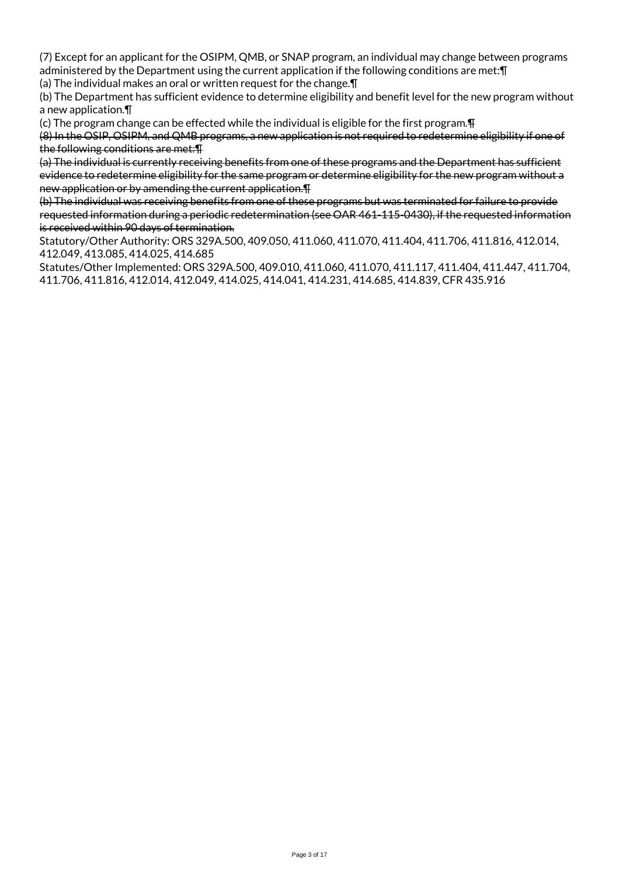(7) Except for an applicant for the OSIPM, QMB, or SNAP program, an individual may change between programs administered by the Department using the current application if the following conditions are met:¶

(a) The individual makes an oral or written request for the change.¶

(b) The Department has sufficient evidence to determine eligibility and benefit level for the new program without a new application.¶

(c) The program change can be effected while the individual is eligible for the first program.¶

(8) In the OSIP, OSIPM, and QMB programs, a new application is not required to redetermine eligibility if one of the following conditions are met:¶

(a) The individual is currently receiving benefits from one of these programs and the Department has sufficient evidence to redetermine eligibility for the same program or determine eligibility for the new program without a new application or by amending the current application.¶

(b) The individual was receiving benefits from one of these programs but was terminated for failure to provide requested information during a periodic redetermination (see OAR 461-115-0430), if the requested information is received within 90 days of termination.

Statutory/Other Authority: ORS 329A.500, 409.050, 411.060, 411.070, 411.404, 411.706, 411.816, 412.014, 412.049, 413.085, 414.025, 414.685

Statutes/Other Implemented: ORS 329A.500, 409.010, 411.060, 411.070, 411.117, 411.404, 411.447, 411.704, 411.706, 411.816, 412.014, 412.049, 414.025, 414.041, 414.231, 414.685, 414.839, CFR 435.916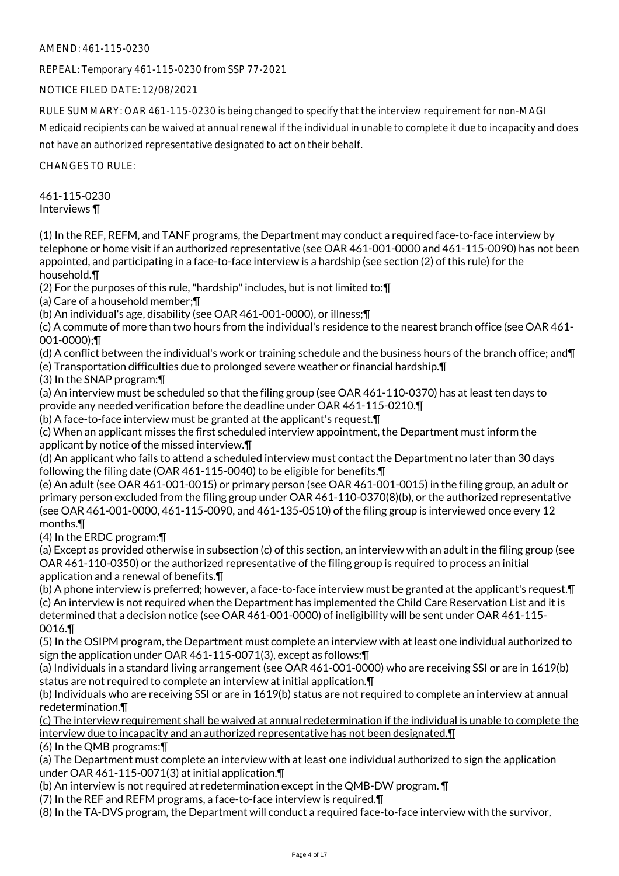AMEND: 461-115-0230

REPEAL: Temporary 461-115-0230 from SSP 77-2021

NOTICE FILED DATE: 12/08/2021

RULE SUMMARY: OAR 461-115-0230 is being changed to specify that the interview requirement for non-MAGI

Medicaid recipients can be waived at annual renewal if the individual in unable to complete it due to incapacity and does not have an authorized representative designated to act on their behalf.

CHANGES TO RULE:

461-115-0230 Interviews ¶

(1) In the REF, REFM, and TANF programs, the Department may conduct a required face-to-face interview by telephone or home visit if an authorized representative (see OAR 461-001-0000 and 461-115-0090) has not been appointed, and participating in a face-to-face interview is a hardship (see section (2) of this rule) for the household.¶

(2) For the purposes of this rule, "hardship" includes, but is not limited to:¶

(a) Care of a household member;¶

(b) An individual's age, disability (see OAR 461-001-0000), or illness;¶

(c) A commute of more than two hours from the individual's residence to the nearest branch office (see OAR 461- 001-0000);¶

(d) A conflict between the individual's work or training schedule and the business hours of the branch office; and¶

(e) Transportation difficulties due to prolonged severe weather or financial hardship.¶

(3) In the SNAP program:¶

(a) An interview must be scheduled so that the filing group (see OAR 461-110-0370) has at least ten days to provide any needed verification before the deadline under OAR 461-115-0210.¶

(b) A face-to-face interview must be granted at the applicant's request.¶

(c) When an applicant misses the first scheduled interview appointment, the Department must inform the applicant by notice of the missed interview.¶

(d) An applicant who fails to attend a scheduled interview must contact the Department no later than 30 days following the filing date (OAR 461-115-0040) to be eligible for benefits.¶

(e) An adult (see OAR 461-001-0015) or primary person (see OAR 461-001-0015) in the filing group, an adult or primary person excluded from the filing group under OAR 461-110-0370(8)(b), or the authorized representative (see OAR 461-001-0000, 461-115-0090, and 461-135-0510) of the filing group is interviewed once every 12 months.¶

(4) In the ERDC program:¶

(a) Except as provided otherwise in subsection (c) of this section, an interview with an adult in the filing group (see OAR 461-110-0350) or the authorized representative of the filing group is required to process an initial application and a renewal of benefits.¶

(b) A phone interview is preferred; however, a face-to-face interview must be granted at the applicant's request.¶ (c) An interview is not required when the Department has implemented the Child Care Reservation List and it is determined that a decision notice (see OAR 461-001-0000) of ineligibility will be sent under OAR 461-115- 0016.¶

(5) In the OSIPM program, the Department must complete an interview with at least one individual authorized to sign the application under OAR 461-115-0071(3), except as follows:¶

(a) Individuals in a standard living arrangement (see OAR 461-001-0000) who are receiving SSI or are in 1619(b) status are not required to complete an interview at initial application.¶

(b) Individuals who are receiving SSI or are in 1619(b) status are not required to complete an interview at annual redetermination.¶

(c) The interview requirement shall be waived at annual redetermination if the individual is unable to complete the interview due to incapacity and an authorized representative has not been designated.¶

(6) In the QMB programs:¶

(a) The Department must complete an interview with at least one individual authorized to sign the application under OAR 461-115-0071(3) at initial application.¶

(b) An interview is not required at redetermination except in the QMB-DW program. ¶

(7) In the REF and REFM programs, a face-to-face interview is required.¶

(8) In the TA-DVS program, the Department will conduct a required face-to-face interview with the survivor,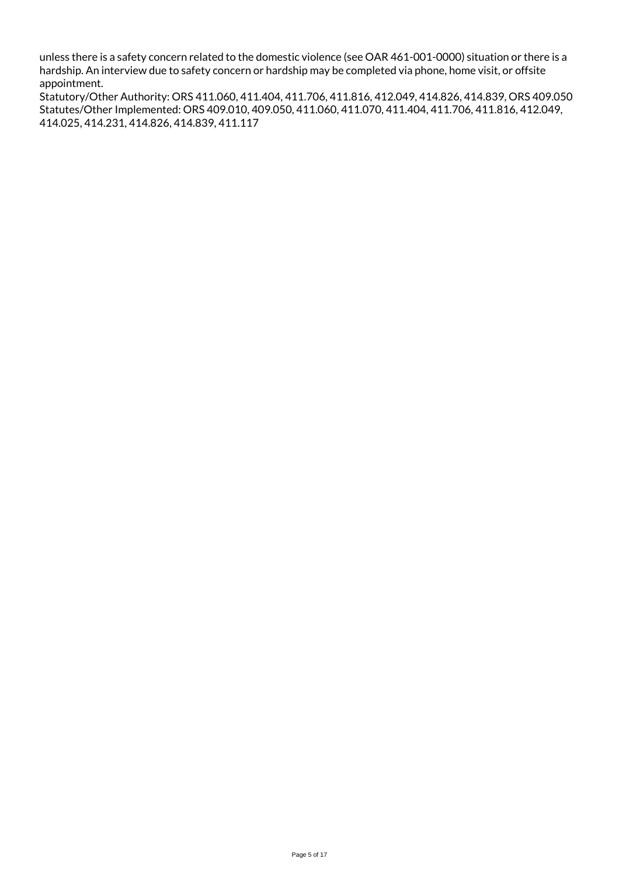unless there is a safety concern related to the domestic violence (see OAR 461-001-0000) situation or there is a hardship. An interview due to safety concern or hardship may be completed via phone, home visit, or offsite appointment.

Statutory/Other Authority: ORS 411.060, 411.404, 411.706, 411.816, 412.049, 414.826, 414.839, ORS 409.050 Statutes/Other Implemented: ORS 409.010, 409.050, 411.060, 411.070, 411.404, 411.706, 411.816, 412.049, 414.025, 414.231, 414.826, 414.839, 411.117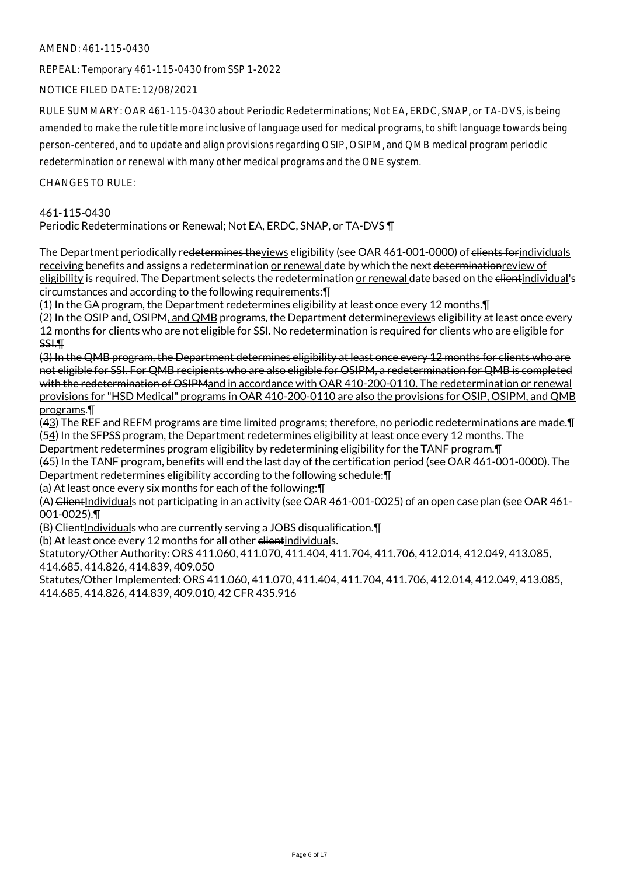## AMEND: 461-115-0430

REPEAL: Temporary 461-115-0430 from SSP 1-2022

NOTICE FILED DATE: 12/08/2021

RULE SUMMARY: OAR 461-115-0430 about Periodic Redeterminations; Not EA, ERDC, SNAP, or TA-DVS, is being amended to make the rule title more inclusive of language used for medical programs, to shift language towards being person-centered, and to update and align provisions regarding OSIP, OSIPM, and QMB medical program periodic redetermination or renewal with many other medical programs and the ONE system.

CHANGES TO RULE:

# 461-115-0430

Periodic Redeterminations or Renewal; Not EA, ERDC, SNAP, or TA-DVS ¶

The Department periodically re<del>determines the</del>views eligibility (see OAR 461-001-0000) of <del>clients for</del>individuals receiving benefits and assigns a redetermination or renewal date by which the next determinationreview of eligibility is required. The Department selects the redetermination or renewal date based on the clientindividual's circumstances and according to the following requirements:¶

(1) In the GA program, the Department redetermines eligibility at least once every 12 months.¶ (2) In the OSIP-and, OSIPM, and QMB programs, the Department determinereviews eligibility at least once every 12 months for clients who are not eligible for SSI. No redetermination is required for clients who are eligible for SSI.¶

(3) In the QMB program, the Department determines eligibility at least once every 12 months for clients who are not eligible for SSI. For QMB recipients who are also eligible for OSIPM, a redetermination for QMB is completed with the redetermination of OSIPMand in accordance with OAR 410-200-0110. The redetermination or renewal provisions for "HSD Medical" programs in OAR 410-200-0110 are also the provisions for OSIP, OSIPM, and QMB programs.¶

(43) The REF and REFM programs are time limited programs; therefore, no periodic redeterminations are made.¶ (54) In the SFPSS program, the Department redetermines eligibility at least once every 12 months. The Department redetermines program eligibility by redetermining eligibility for the TANF program.¶

(65) In the TANF program, benefits will end the last day of the certification period (see OAR 461-001-0000). The Department redetermines eligibility according to the following schedule:¶

(a) At least once every six months for each of the following:¶

(A) ClientIndividuals not participating in an activity (see OAR 461-001-0025) of an open case plan (see OAR 461-001-0025).¶

 $(B)$  ClientIndividuals who are currently serving a JOBS disqualification. $\P$ 

(b) At least once every 12 months for all other elientindividuals.

Statutory/Other Authority: ORS 411.060, 411.070, 411.404, 411.704, 411.706, 412.014, 412.049, 413.085, 414.685, 414.826, 414.839, 409.050

Statutes/Other Implemented: ORS 411.060, 411.070, 411.404, 411.704, 411.706, 412.014, 412.049, 413.085, 414.685, 414.826, 414.839, 409.010, 42 CFR 435.916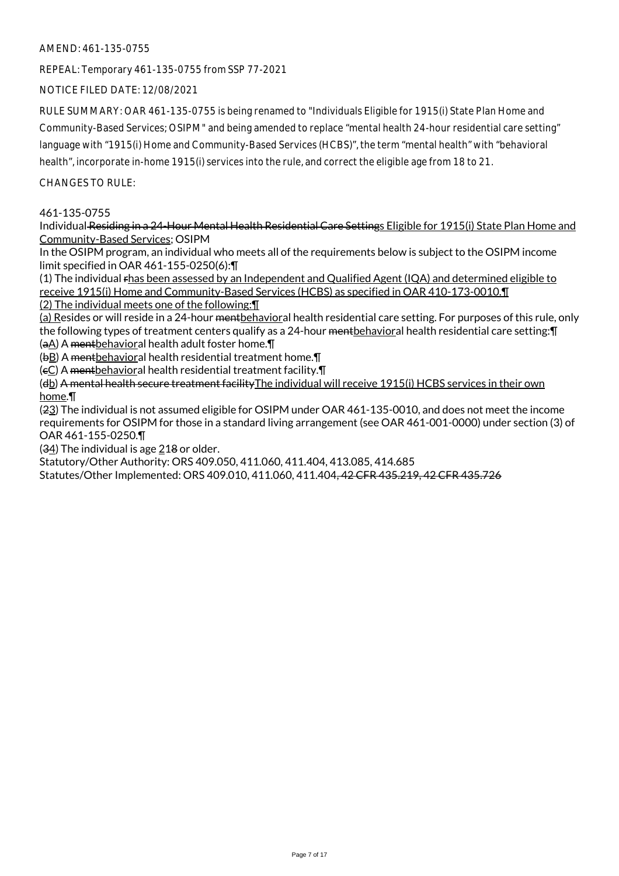## AMEND: 461-135-0755

REPEAL: Temporary 461-135-0755 from SSP 77-2021

NOTICE FILED DATE: 12/08/2021

RULE SUMMARY: OAR 461-135-0755 is being renamed to "Individuals Eligible for 1915(i) State Plan Home and Community-Based Services; OSIPM" and being amended to replace "mental health 24-hour residential care setting" language with "1915(i) Home and Community-Based Services (HCBS)", the term "mental health" with "behavioral health", incorporate in-home 1915(i) services into the rule, and correct the eligible age from 18 to 21.

## CHANGES TO RULE:

## 461-135-0755

Individual Residing in a 24-Hour Mental Health Residential Care Settings Eligible for 1915(i) State Plan Home and Community-Based Services; OSIPM

In the OSIPM program, an individual who meets all of the requirements below is subject to the OSIPM income limit specified in OAR 461-155-0250(6):¶

(1) The individual rhas been assessed by an Independent and Qualified Agent (IQA) and determined eligible to receive 1915(i) Home and Community-Based Services (HCBS) as specified in OAR 410-173-0010.¶

(2) The individual meets one of the following:¶

(a) Resides or will reside in a 24-hour <del>ment</del>behavioral health residential care setting. For purposes of this rule, only the following types of treatment centers qualify as a 24-hour mentbehavioral health residential care setting: [I (aA) A mentbehavioral health adult foster home.¶

(bB) A mentbehavioral health residential treatment home.¶

(cC) A mentbehavioral health residential treatment facility.¶

(db) A mental health secure treatment facility The individual will receive 1915(i) HCBS services in their own home.¶

(23) The individual is not assumed eligible for OSIPM under OAR 461-135-0010, and does not meet the income requirements for OSIPM for those in a standard living arrangement (see OAR 461-001-0000) under section (3) of OAR 461-155-0250.¶

(34) The individual is age 218 or older.

Statutory/Other Authority: ORS 409.050, 411.060, 411.404, 413.085, 414.685

Statutes/Other Implemented: ORS 409.010, 411.060, 411.404, 42 CFR 435.219, 42 CFR 435.726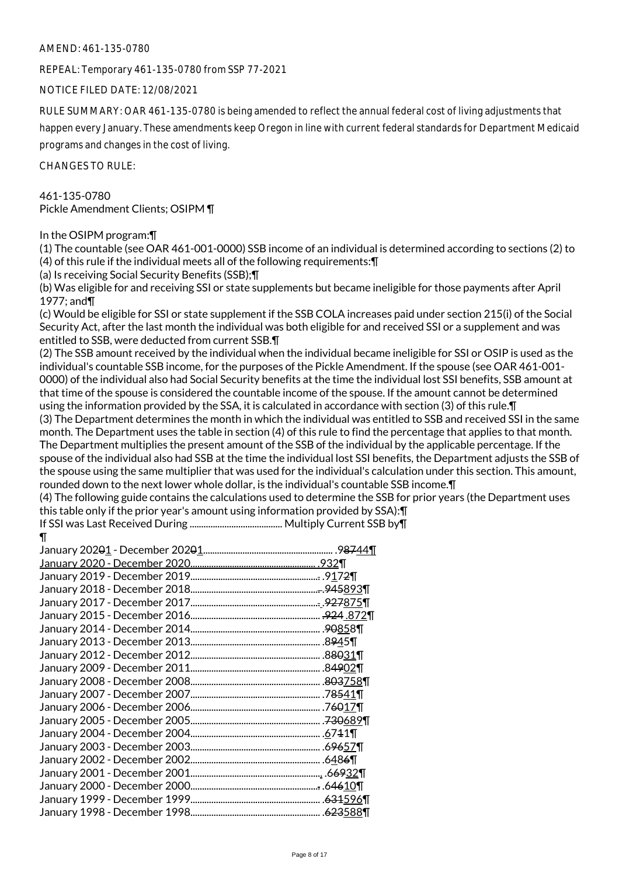#### AMEND: 461-135-0780

REPEAL: Temporary 461-135-0780 from SSP 77-2021

NOTICE FILED DATE: 12/08/2021

RULE SUMMARY: OAR 461-135-0780 is being amended to reflect the annual federal cost of living adjustments that happen every January. These amendments keep Oregon in line with current federal standards for Department Medicaid programs and changes in the cost of living.

CHANGES TO RULE:

# 461-135-0780 Pickle Amendment Clients; OSIPM ¶

#### In the OSIPM program:¶

(1) The countable (see OAR 461-001-0000) SSB income of an individual is determined according to sections (2) to (4) of this rule if the individual meets all of the following requirements:¶

(a) Is receiving Social Security Benefits (SSB);¶

(b) Was eligible for and receiving SSI or state supplements but became ineligible for those payments after April 1977; and¶

(c) Would be eligible for SSI or state supplement if the SSB COLA increases paid under section 215(i) of the Social Security Act, after the last month the individual was both eligible for and received SSI or a supplement and was entitled to SSB, were deducted from current SSB.¶

(2) The SSB amount received by the individual when the individual became ineligible for SSI or OSIP is used as the individual's countable SSB income, for the purposes of the Pickle Amendment. If the spouse (see OAR 461-001- 0000) of the individual also had Social Security benefits at the time the individual lost SSI benefits, SSB amount at that time of the spouse is considered the countable income of the spouse. If the amount cannot be determined using the information provided by the SSA, it is calculated in accordance with section (3) of this rule.¶ (3) The Department determines the month in which the individual was entitled to SSB and received SSI in the same month. The Department uses the table in section (4) of this rule to find the percentage that applies to that month. The Department multiplies the present amount of the SSB of the individual by the applicable percentage. If the spouse of the individual also had SSB at the time the individual lost SSI benefits, the Department adjusts the SSB of the spouse using the same multiplier that was used for the individual's calculation under this section. This amount, rounded down to the next lower whole dollar, is the individual's countable SSB income.¶

(4) The following guide contains the calculations used to determine the SSB for prior years (the Department uses this table only if the prior year's amount using information provided by SSA):¶

If SSI was Last Received During ........................................ Multiply Current SSB by¶ ¶

| January 202 <del>0</del> 1 - December 202 <del>0</del> 1. | .9 <del>87</del> 44¶               |
|-----------------------------------------------------------|------------------------------------|
|                                                           | <u>932¶</u>                        |
| January 2019 - December 2019.<br>                         | . <del>.</del> .917 <del>2</del> ¶ |
|                                                           | . <del>.</del> .945 <u>893</u> ¶   |
| January 2017 - December 2017                              | <u>. .927875¶</u>                  |
| January 2015 - December 2016                              | <del>.924</del> .872¶              |
| January 2014 - December 2014                              | .90858¶                            |
| January 2013 - December 2013                              | .8 <del>9</del> 45¶                |
| January 2012 - December 2012.                             | .8 <del>80</del> 31¶               |
| January 2009 - December 2011.                             | .84 <del>9</del> 02¶               |
| January 2008 - December 2008                              | . <del>803</del> 758¶              |
| January 2007 - December 2007                              | .78541¶                            |
| January 2006 - December 2006                              | .7 <del>60</del> 17¶               |
| January 2005 - December 2005                              | .730689¶                           |
| January 2004 - December 2004                              | .6741                              |
| January 2003 - December 2003.                             | .6 <del>96</del> 57¶               |
| January 2002 - December 2002.                             | .6486¶                             |
| January 2001 - December 2001.                             | <u>.</u> .6 <del>69</del> 32¶      |
| January 2000 - December 2000.                             | . <del>.</del> .646 <u>10</u> ¶    |
| January 1999 - December 1999                              | . <del>631</del> 596¶              |
| January 1998 - December 1998                              | .623588¶                           |
|                                                           |                                    |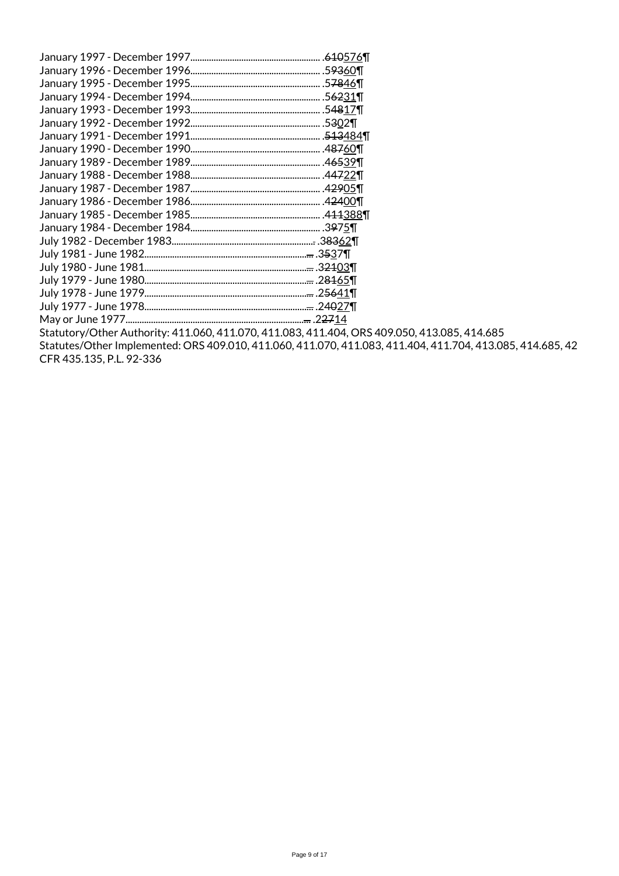| January 1997 - December 1997 | . <del>610</del> 576¶            |
|------------------------------|----------------------------------|
|                              |                                  |
|                              |                                  |
| January 1994 - December 1994 |                                  |
|                              |                                  |
| January 1992 - December 1992 |                                  |
| January 1991 - December 1991 |                                  |
| January 1990 - December 1990 |                                  |
|                              |                                  |
| January 1988 - December 1988 |                                  |
|                              |                                  |
|                              |                                  |
|                              |                                  |
|                              |                                  |
|                              |                                  |
|                              |                                  |
| July 1980 - June 1981.       | <del></del> .3 <del>21</del> 03¶ |
|                              |                                  |
|                              |                                  |
|                              |                                  |
|                              |                                  |
|                              |                                  |

Statutory/Other Authority: 411.060, 411.070, 411.083, 411.404, ORS 409.050, 413.085, 414.685 Statutes/Other Implemented: ORS 409.010, 411.060, 411.070, 411.083, 411.404, 411.704, 413.085, 414.685, 42 CFR 435.135, P.L. 92-336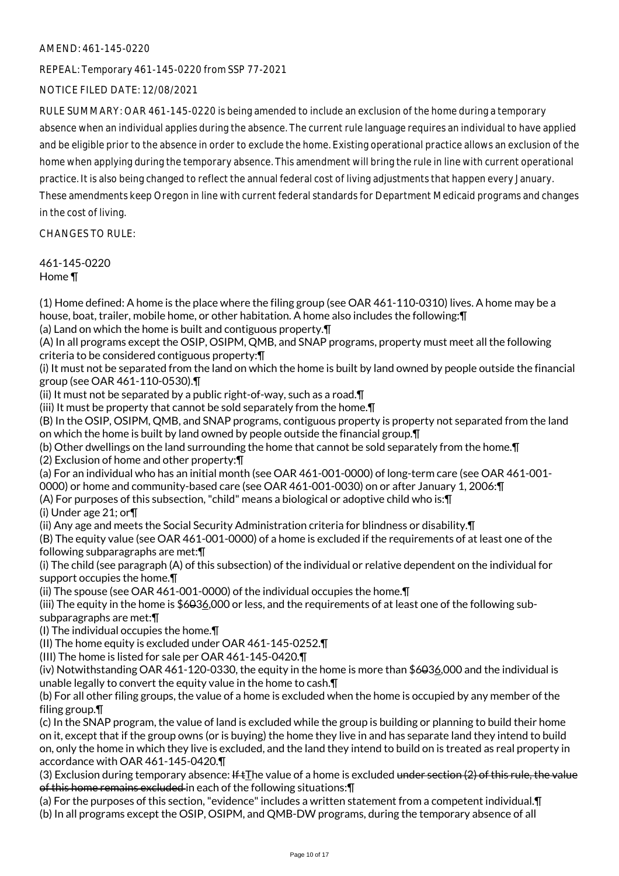# AMEND: 461-145-0220

REPEAL: Temporary 461-145-0220 from SSP 77-2021

# NOTICE FILED DATE: 12/08/2021

RULE SUMMARY: OAR 461-145-0220 is being amended to include an exclusion of the home during a temporary absence when an individual applies during the absence. The current rule language requires an individual to have applied and be eligible prior to the absence in order to exclude the home. Existing operational practice allows an exclusion of the home when applying during the temporary absence. This amendment will bring the rule in line with current operational practice. It is also being changed to reflect the annual federal cost of living adjustments that happen every January. These amendments keep Oregon in line with current federal standards for Department Medicaid programs and changes

in the cost of living.

CHANGES TO RULE:

461-145-0220 Home ¶

(1) Home defined: A home is the place where the filing group (see OAR 461-110-0310) lives. A home may be a house, boat, trailer, mobile home, or other habitation. A home also includes the following:¶

(a) Land on which the home is built and contiguous property.¶

(A) In all programs except the OSIP, OSIPM, QMB, and SNAP programs, property must meet all the following criteria to be considered contiguous property:¶

(i) It must not be separated from the land on which the home is built by land owned by people outside the financial group (see OAR 461-110-0530).¶

(ii) It must not be separated by a public right-of-way, such as a road. $\P$ 

(iii) It must be property that cannot be sold separately from the home.¶

(B) In the OSIP, OSIPM, QMB, and SNAP programs, contiguous property is property not separated from the land on which the home is built by land owned by people outside the financial group.¶

(b) Other dwellings on the land surrounding the home that cannot be sold separately from the home.¶

(2) Exclusion of home and other property:¶

(a) For an individual who has an initial month (see OAR 461-001-0000) of long-term care (see OAR 461-001-

0000) or home and community-based care (see OAR 461-001-0030) on or after January 1, 2006:¶

(A) For purposes of this subsection, "child" means a biological or adoptive child who is:¶

(i) Under age 21; or¶

(ii) Any age and meets the Social Security Administration criteria for blindness or disability.¶

(B) The equity value (see OAR 461-001-0000) of a home is excluded if the requirements of at least one of the following subparagraphs are met:¶

(i) The child (see paragraph (A) of this subsection) of the individual or relative dependent on the individual for support occupies the home.¶

(ii) The spouse (see OAR 461-001-0000) of the individual occupies the home.¶

(iii) The equity in the home is \$6036,000 or less, and the requirements of at least one of the following subsubparagraphs are met:¶

(I) The individual occupies the home.¶

(II) The home equity is excluded under OAR 461-145-0252.¶

(III) The home is listed for sale per OAR 461-145-0420.¶

(iv) Notwithstanding OAR 461-120-0330, the equity in the home is more than \$6036,000 and the individual is unable legally to convert the equity value in the home to cash.¶

(b) For all other filing groups, the value of a home is excluded when the home is occupied by any member of the filing group.¶

(c) In the SNAP program, the value of land is excluded while the group is building or planning to build their home on it, except that if the group owns (or is buying) the home they live in and has separate land they intend to build on, only the home in which they live is excluded, and the land they intend to build on is treated as real property in accordance with OAR 461-145-0420.¶

(3) Exclusion during temporary absence: If  $tI$ he value of a home is excluded under section (2) of this rule, the value of this home remains excluded in each of the following situations:¶

(a) For the purposes of this section, "evidence" includes a written statement from a competent individual.¶

(b) In all programs except the OSIP, OSIPM, and QMB-DW programs, during the temporary absence of all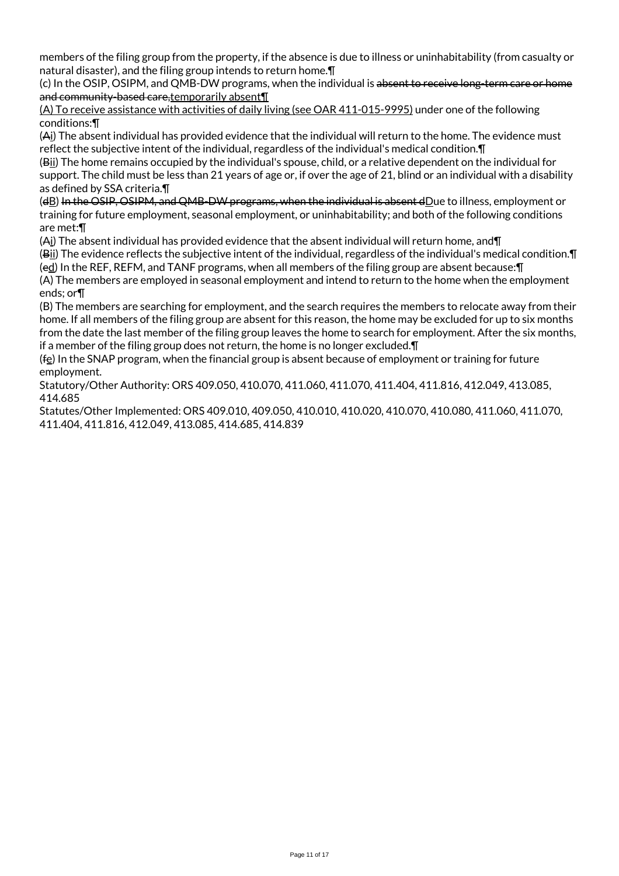members of the filing group from the property, if the absence is due to illness or uninhabitability (from casualty or natural disaster), and the filing group intends to return home.¶

(c) In the OSIP, OSIPM, and QMB-DW programs, when the individual is absent to receive long-term care or home and community-based care, temporarily absent¶

(A) To receive assistance with activities of daily living (see OAR 411-015-9995) under one of the following conditions:¶

(Ai) The absent individual has provided evidence that the individual will return to the home. The evidence must reflect the subjective intent of the individual, regardless of the individual's medical condition.¶

(Bii) The home remains occupied by the individual's spouse, child, or a relative dependent on the individual for support. The child must be less than 21 years of age or, if over the age of 21, blind or an individual with a disability as defined by SSA criteria.¶

(dB) In the OSIP, OSIPM, and QMB-DW programs, when the individual is absent dDue to illness, employment or training for future employment, seasonal employment, or uninhabitability; and both of the following conditions are met:¶

(Ai) The absent individual has provided evidence that the absent individual will return home, and¶

(Bii) The evidence reflects the subjective intent of the individual, regardless of the individual's medical condition.¶ (ed) In the REF, REFM, and TANF programs, when all members of the filing group are absent because:¶

(A) The members are employed in seasonal employment and intend to return to the home when the employment ends; or¶

(B) The members are searching for employment, and the search requires the members to relocate away from their home. If all members of the filing group are absent for this reason, the home may be excluded for up to six months from the date the last member of the filing group leaves the home to search for employment. After the six months, if a member of the filing group does not return, the home is no longer excluded.¶

(fe) In the SNAP program, when the financial group is absent because of employment or training for future employment.

Statutory/Other Authority: ORS 409.050, 410.070, 411.060, 411.070, 411.404, 411.816, 412.049, 413.085, 414.685

Statutes/Other Implemented: ORS 409.010, 409.050, 410.010, 410.020, 410.070, 410.080, 411.060, 411.070, 411.404, 411.816, 412.049, 413.085, 414.685, 414.839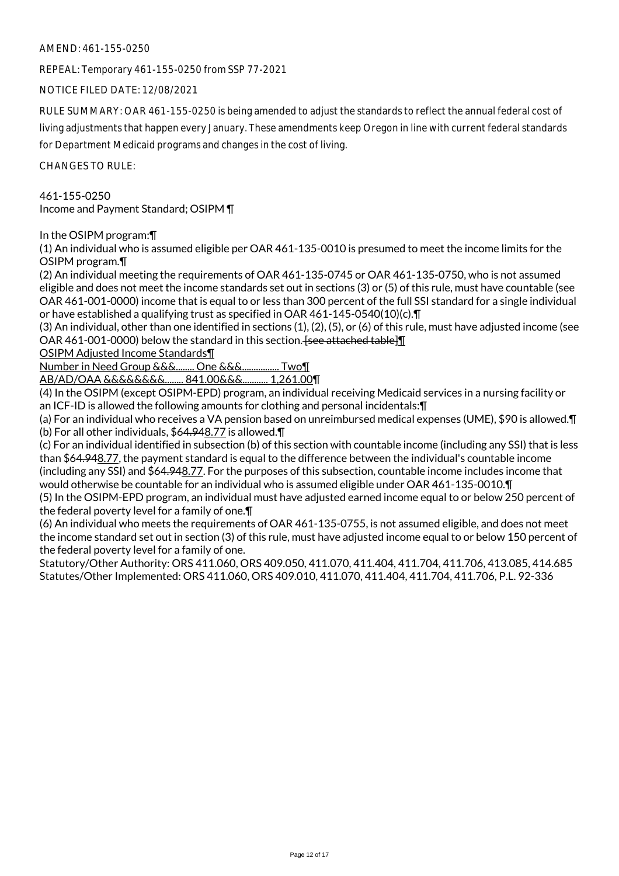## AMEND: 461-155-0250

REPEAL: Temporary 461-155-0250 from SSP 77-2021

NOTICE FILED DATE: 12/08/2021

RULE SUMMARY: OAR 461-155-0250 is being amended to adjust the standards to reflect the annual federal cost of living adjustments that happen every January. These amendments keep Oregon in line with current federal standards for Department Medicaid programs and changes in the cost of living.

CHANGES TO RULE:

# 461-155-0250 Income and Payment Standard; OSIPM ¶

In the OSIPM program:¶

(1) An individual who is assumed eligible per OAR 461-135-0010 is presumed to meet the income limits for the OSIPM program.¶

(2) An individual meeting the requirements of OAR 461-135-0745 or OAR 461-135-0750, who is not assumed eligible and does not meet the income standards set out in sections (3) or (5) of this rule, must have countable (see OAR 461-001-0000) income that is equal to or less than 300 percent of the full SSI standard for a single individual or have established a qualifying trust as specified in OAR 461-145-0540(10)(c).¶

(3) An individual, other than one identified in sections (1), (2), (5), or (6) of this rule, must have adjusted income (see OAR 461-001-0000) below the standard in this section. [see attached table]

OSIPM Adjusted Income Standards¶

Number in Need Group &&&........ One &&&................ Two¶

AB/AD/OAA &&&&&&&&........ 841.00&&&........... 1,261.00¶

(4) In the OSIPM (except OSIPM-EPD) program, an individual receiving Medicaid services in a nursing facility or an ICF-ID is allowed the following amounts for clothing and personal incidentals:¶

(a) For an individual who receives a VA pension based on unreimbursed medical expenses (UME), \$90 is allowed.¶ (b) For all other individuals, \$64.948.77 is allowed.¶

(c) For an individual identified in subsection (b) of this section with countable income (including any SSI) that is less than \$64.948.77, the payment standard is equal to the difference between the individual's countable income (including any SSI) and \$64.948.77. For the purposes of this subsection, countable income includes income that would otherwise be countable for an individual who is assumed eligible under OAR 461-135-0010.¶

(5) In the OSIPM-EPD program, an individual must have adjusted earned income equal to or below 250 percent of the federal poverty level for a family of one.¶

(6) An individual who meets the requirements of OAR 461-135-0755, is not assumed eligible, and does not meet the income standard set out in section (3) of this rule, must have adjusted income equal to or below 150 percent of the federal poverty level for a family of one.

Statutory/Other Authority: ORS 411.060, ORS 409.050, 411.070, 411.404, 411.704, 411.706, 413.085, 414.685 Statutes/Other Implemented: ORS 411.060, ORS 409.010, 411.070, 411.404, 411.704, 411.706, P.L. 92-336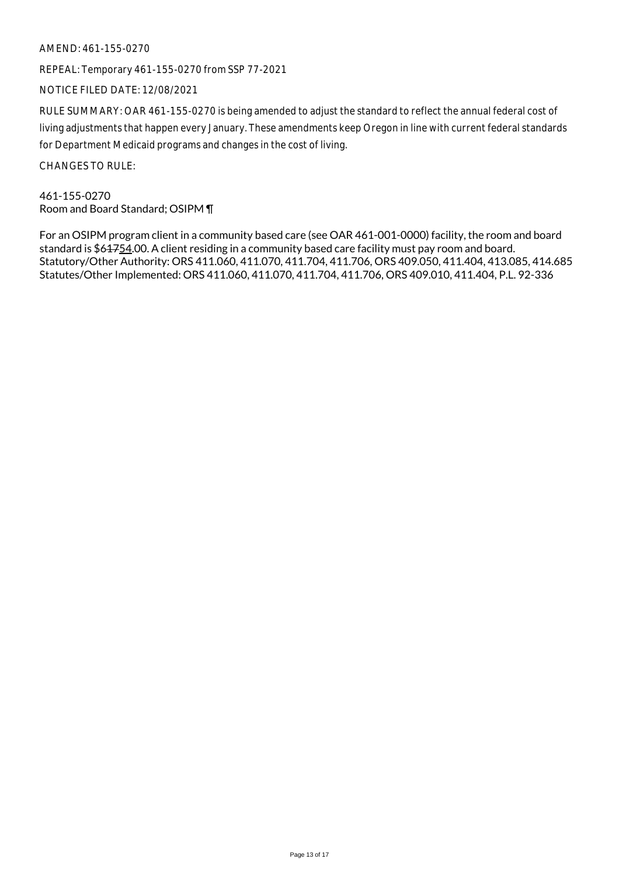## AMEND: 461-155-0270

REPEAL: Temporary 461-155-0270 from SSP 77-2021

NOTICE FILED DATE: 12/08/2021

RULE SUMMARY: OAR 461-155-0270 is being amended to adjust the standard to reflect the annual federal cost of living adjustments that happen every January. These amendments keep Oregon in line with current federal standards for Department Medicaid programs and changes in the cost of living.

CHANGES TO RULE:

461-155-0270 Room and Board Standard; OSIPM ¶

For an OSIPM program client in a community based care (see OAR 461-001-0000) facility, the room and board standard is \$64754.00. A client residing in a community based care facility must pay room and board. Statutory/Other Authority: ORS 411.060, 411.070, 411.704, 411.706, ORS 409.050, 411.404, 413.085, 414.685 Statutes/Other Implemented: ORS 411.060, 411.070, 411.704, 411.706, ORS 409.010, 411.404, P.L. 92-336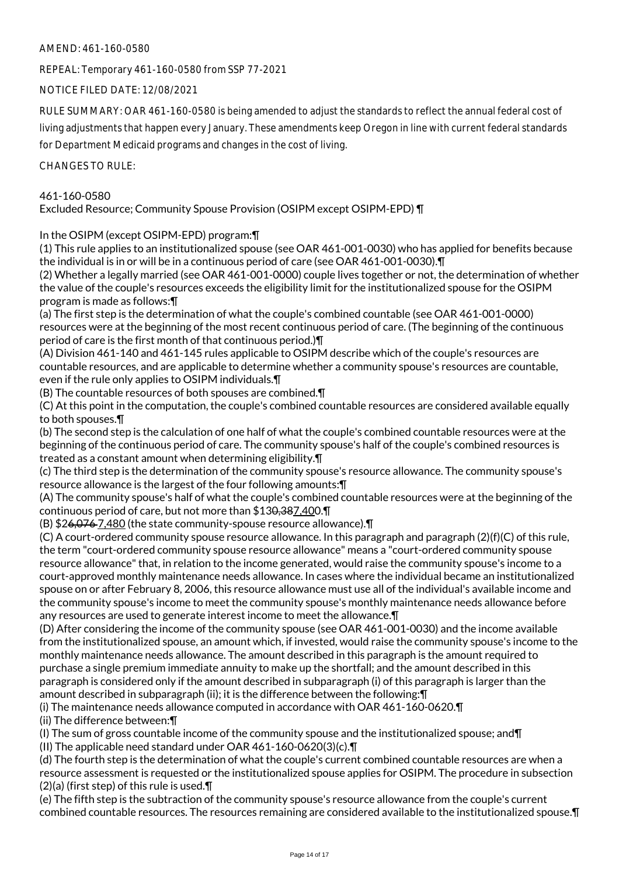# AMEND: 461-160-0580

REPEAL: Temporary 461-160-0580 from SSP 77-2021

NOTICE FILED DATE: 12/08/2021

RULE SUMMARY: OAR 461-160-0580 is being amended to adjust the standards to reflect the annual federal cost of

living adjustments that happen every January. These amendments keep Oregon in line with current federal standards for Department Medicaid programs and changes in the cost of living.

CHANGES TO RULE:

# 461-160-0580

Excluded Resource; Community Spouse Provision (OSIPM except OSIPM-EPD) ¶

# In the OSIPM (except OSIPM-EPD) program:¶

(1) This rule applies to an institutionalized spouse (see OAR 461-001-0030) who has applied for benefits because the individual is in or will be in a continuous period of care (see OAR 461-001-0030).¶

(2) Whether a legally married (see OAR 461-001-0000) couple lives together or not, the determination of whether the value of the couple's resources exceeds the eligibility limit for the institutionalized spouse for the OSIPM program is made as follows:¶

(a) The first step is the determination of what the couple's combined countable (see OAR 461-001-0000) resources were at the beginning of the most recent continuous period of care. (The beginning of the continuous period of care is the first month of that continuous period.)¶

(A) Division 461-140 and 461-145 rules applicable to OSIPM describe which of the couple's resources are countable resources, and are applicable to determine whether a community spouse's resources are countable, even if the rule only applies to OSIPM individuals.¶

(B) The countable resources of both spouses are combined.¶

(C) At this point in the computation, the couple's combined countable resources are considered available equally to both spouses.¶

(b) The second step is the calculation of one half of what the couple's combined countable resources were at the beginning of the continuous period of care. The community spouse's half of the couple's combined resources is treated as a constant amount when determining eligibility.¶

(c) The third step is the determination of the community spouse's resource allowance. The community spouse's resource allowance is the largest of the four following amounts:¶

(A) The community spouse's half of what the couple's combined countable resources were at the beginning of the continuous period of care, but not more than \$130,387,400.¶

(B) \$26,076 7,480 (the state community-spouse resource allowance).¶

(C) A court-ordered community spouse resource allowance. In this paragraph and paragraph (2)(f)(C) of this rule, the term "court-ordered community spouse resource allowance" means a "court-ordered community spouse resource allowance" that, in relation to the income generated, would raise the community spouse's income to a court-approved monthly maintenance needs allowance. In cases where the individual became an institutionalized spouse on or after February 8, 2006, this resource allowance must use all of the individual's available income and the community spouse's income to meet the community spouse's monthly maintenance needs allowance before any resources are used to generate interest income to meet the allowance.¶

(D) After considering the income of the community spouse (see OAR 461-001-0030) and the income available from the institutionalized spouse, an amount which, if invested, would raise the community spouse's income to the monthly maintenance needs allowance. The amount described in this paragraph is the amount required to purchase a single premium immediate annuity to make up the shortfall; and the amount described in this paragraph is considered only if the amount described in subparagraph (i) of this paragraph is larger than the amount described in subparagraph (ii); it is the difference between the following:¶

(i) The maintenance needs allowance computed in accordance with OAR 461-160-0620.¶ (ii) The difference between:¶

(I) The sum of gross countable income of the community spouse and the institutionalized spouse; and¶

(II) The applicable need standard under OAR 461-160-0620(3)(c).¶

(d) The fourth step is the determination of what the couple's current combined countable resources are when a resource assessment is requested or the institutionalized spouse applies for OSIPM. The procedure in subsection  $(2)(a)$  (first step) of this rule is used. $\P$ 

(e) The fifth step is the subtraction of the community spouse's resource allowance from the couple's current combined countable resources. The resources remaining are considered available to the institutionalized spouse.¶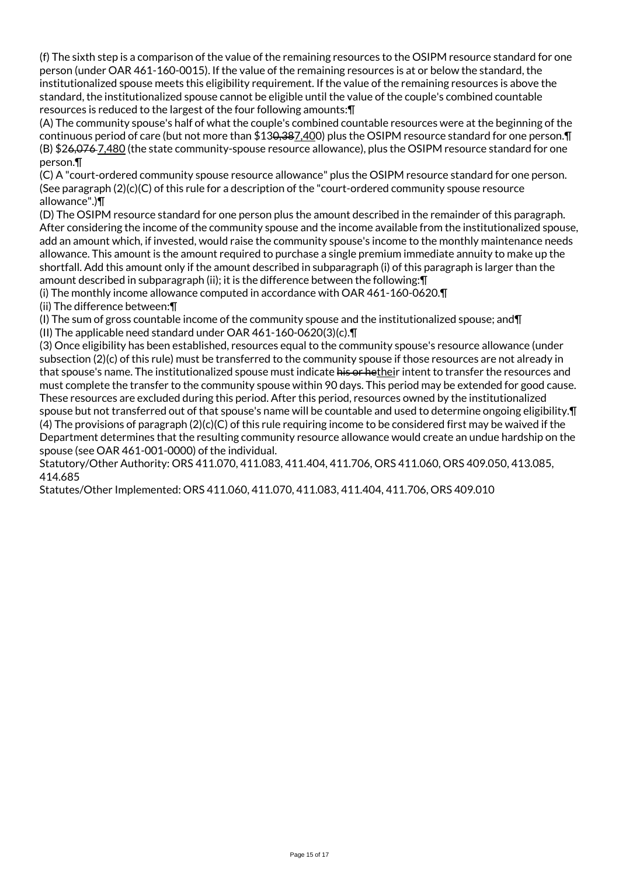(f) The sixth step is a comparison of the value of the remaining resources to the OSIPM resource standard for one person (under OAR 461-160-0015). If the value of the remaining resources is at or below the standard, the institutionalized spouse meets this eligibility requirement. If the value of the remaining resources is above the standard, the institutionalized spouse cannot be eligible until the value of the couple's combined countable resources is reduced to the largest of the four following amounts:¶

(A) The community spouse's half of what the couple's combined countable resources were at the beginning of the continuous period of care (but not more than \$130,387,400) plus the OSIPM resource standard for one person.¶ (B) \$26,076 7,480 (the state community-spouse resource allowance), plus the OSIPM resource standard for one person.¶

(C) A "court-ordered community spouse resource allowance" plus the OSIPM resource standard for one person. (See paragraph  $(2)(c)(C)$  of this rule for a description of the "court-ordered community spouse resource allowance".)¶

(D) The OSIPM resource standard for one person plus the amount described in the remainder of this paragraph. After considering the income of the community spouse and the income available from the institutionalized spouse, add an amount which, if invested, would raise the community spouse's income to the monthly maintenance needs allowance. This amount is the amount required to purchase a single premium immediate annuity to make up the shortfall. Add this amount only if the amount described in subparagraph (i) of this paragraph is larger than the amount described in subparagraph (ii); it is the difference between the following:¶

(i) The monthly income allowance computed in accordance with OAR 461-160-0620.¶

(ii) The difference between:¶

(I) The sum of gross countable income of the community spouse and the institutionalized spouse; and¶ (II) The applicable need standard under OAR 461-160-0620(3)(c).¶

(3) Once eligibility has been established, resources equal to the community spouse's resource allowance (under subsection (2)(c) of this rule) must be transferred to the community spouse if those resources are not already in that spouse's name. The institutionalized spouse must indicate his or hetheir intent to transfer the resources and must complete the transfer to the community spouse within 90 days. This period may be extended for good cause. These resources are excluded during this period. After this period, resources owned by the institutionalized spouse but not transferred out of that spouse's name will be countable and used to determine ongoing eligibility.¶ (4) The provisions of paragraph (2)(c)(C) of this rule requiring income to be considered first may be waived if the Department determines that the resulting community resource allowance would create an undue hardship on the spouse (see OAR 461-001-0000) of the individual.

Statutory/Other Authority: ORS 411.070, 411.083, 411.404, 411.706, ORS 411.060, ORS 409.050, 413.085, 414.685

Statutes/Other Implemented: ORS 411.060, 411.070, 411.083, 411.404, 411.706, ORS 409.010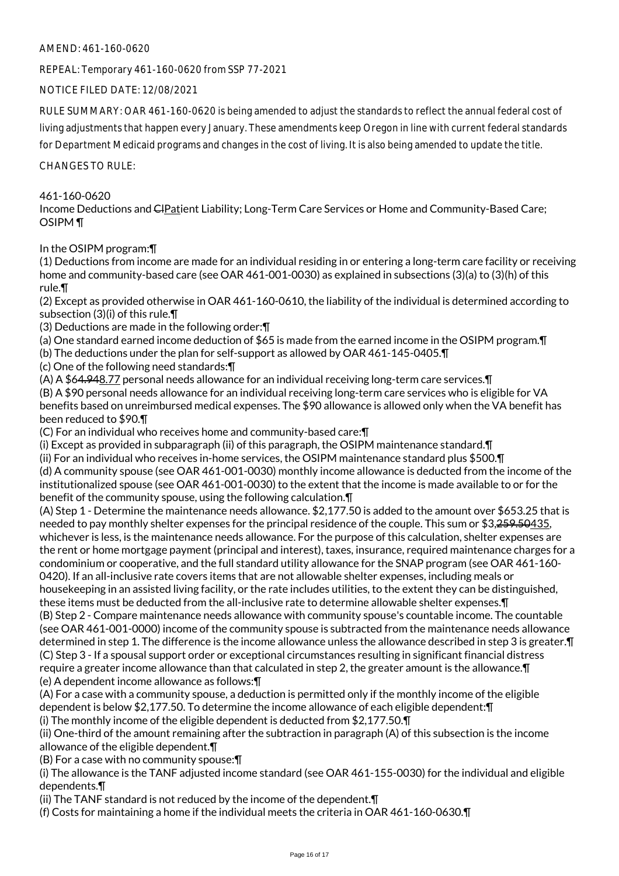AMEND: 461-160-0620

REPEAL: Temporary 461-160-0620 from SSP 77-2021

NOTICE FILED DATE: 12/08/2021

RULE SUMMARY: OAR 461-160-0620 is being amended to adjust the standards to reflect the annual federal cost of living adjustments that happen every January. These amendments keep Oregon in line with current federal standards for Department Medicaid programs and changes in the cost of living. It is also being amended to update the title.

CHANGES TO RULE:

# 461-160-0620

Income Deductions and CIPatient Liability; Long-Term Care Services or Home and Community-Based Care; OSIPM ¶

In the OSIPM program:¶

(1) Deductions from income are made for an individual residing in or entering a long-term care facility or receiving home and community-based care (see OAR 461-001-0030) as explained in subsections (3)(a) to (3)(h) of this rule.¶

(2) Except as provided otherwise in OAR 461-160-0610, the liability of the individual is determined according to subsection (3)(i) of this rule.¶

(3) Deductions are made in the following order:¶

(a) One standard earned income deduction of \$65 is made from the earned income in the OSIPM program.¶

(b) The deductions under the plan for self-support as allowed by OAR 461-145-0405.¶

(c) One of the following need standards:¶

(A) A \$64.948.77 personal needs allowance for an individual receiving long-term care services.¶ (B) A \$90 personal needs allowance for an individual receiving long-term care services who is eligible for VA benefits based on unreimbursed medical expenses. The \$90 allowance is allowed only when the VA benefit has been reduced to \$90.¶

(C) For an individual who receives home and community-based care:¶

(i) Except as provided in subparagraph (ii) of this paragraph, the OSIPM maintenance standard.¶

(ii) For an individual who receives in-home services, the OSIPM maintenance standard plus \$500.¶ (d) A community spouse (see OAR 461-001-0030) monthly income allowance is deducted from the income of the institutionalized spouse (see OAR 461-001-0030) to the extent that the income is made available to or for the benefit of the community spouse, using the following calculation.¶

(A) Step 1 - Determine the maintenance needs allowance. \$2,177.50 is added to the amount over \$653.25 that is needed to pay monthly shelter expenses for the principal residence of the couple. This sum or \$3,259.50435, whichever is less, is the maintenance needs allowance. For the purpose of this calculation, shelter expenses are the rent or home mortgage payment (principal and interest), taxes, insurance, required maintenance charges for a condominium or cooperative, and the full standard utility allowance for the SNAP program (see OAR 461-160- 0420). If an all-inclusive rate covers items that are not allowable shelter expenses, including meals or housekeeping in an assisted living facility, or the rate includes utilities, to the extent they can be distinguished, these items must be deducted from the all-inclusive rate to determine allowable shelter expenses.¶

(B) Step 2 - Compare maintenance needs allowance with community spouse's countable income. The countable (see OAR 461-001-0000) income of the community spouse is subtracted from the maintenance needs allowance determined in step 1. The difference is the income allowance unless the allowance described in step 3 is greater.¶ (C) Step 3 - If a spousal support order or exceptional circumstances resulting in significant financial distress require a greater income allowance than that calculated in step 2, the greater amount is the allowance.¶ (e) A dependent income allowance as follows:¶

(A) For a case with a community spouse, a deduction is permitted only if the monthly income of the eligible dependent is below \$2,177.50. To determine the income allowance of each eligible dependent:¶ (i) The monthly income of the eligible dependent is deducted from \$2,177.50.¶

(ii) One-third of the amount remaining after the subtraction in paragraph (A) of this subsection is the income allowance of the eligible dependent.¶

(B) For a case with no community spouse:¶

(i) The allowance is the TANF adjusted income standard (see OAR 461-155-0030) for the individual and eligible dependents.¶

(ii) The TANF standard is not reduced by the income of the dependent.¶

(f) Costs for maintaining a home if the individual meets the criteria in OAR 461-160-0630.¶